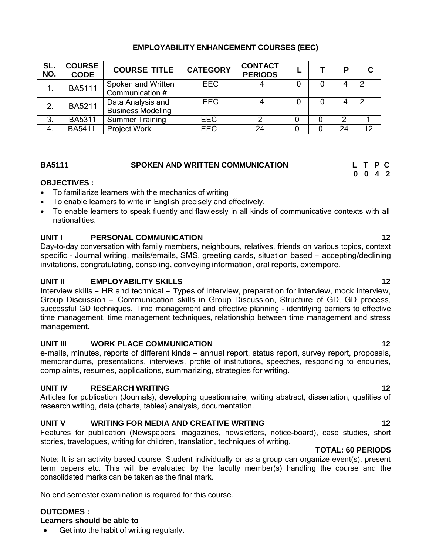# **EMPLOYABILITY ENHANCEMENT COURSES (EEC)**

| SL.<br>NO.    | <b>COURSE</b><br><b>CODE</b> | <b>COURSE TITLE</b>                           | <b>CATEGORY</b> | <b>CONTACT</b><br><b>PERIODS</b> |  |    |    |
|---------------|------------------------------|-----------------------------------------------|-----------------|----------------------------------|--|----|----|
|               | <b>BA5111</b>                | Spoken and Written<br>Communication #         | <b>EEC</b>      |                                  |  |    |    |
| $\mathcal{P}$ | <b>BA5211</b>                | Data Analysis and<br><b>Business Modeling</b> | <b>EEC</b>      |                                  |  |    |    |
| 3.            | <b>BA5311</b>                | <b>Summer Training</b>                        | <b>EEC</b>      |                                  |  |    |    |
| 4.            | <b>BA5411</b>                | <b>Project Work</b>                           | <b>EEC</b>      | 24                               |  | 24 | 12 |

# **BA5111 SPOKEN AND WRITTEN COMMUNICATION L T P C**

# **OBJECTIVES :**

- To familiarize learners with the mechanics of writing
- To enable learners to write in English precisely and effectively.
- To enable learners to speak fluently and flawlessly in all kinds of communicative contexts with all nationalities.

# **UNIT I PERSONAL COMMUNICATION 12**

Day-to-day conversation with family members, neighbours, relatives, friends on various topics, context specific - Journal writing, mails/emails, SMS, greeting cards, situation based – accepting/declining invitations, congratulating, consoling, conveying information, oral reports, extempore.

# **UNIT II EMPLOYABILITY SKILLS 12**

Interview skills – HR and technical – Types of interview, preparation for interview, mock interview, Group Discussion – Communication skills in Group Discussion, Structure of GD, GD process, successful GD techniques. Time management and effective planning – identifying barriers to effective time management, time management techniques, relationship between time management and stress management.

# **UNIT III WORK PLACE COMMUNICATION 12**

e-mails, minutes, reports of different kinds – annual report, status report, survey report, proposals, memorandums, presentations, interviews, profile of institutions, speeches, responding to enquiries, complaints, resumes, applications, summarizing, strategies for writing.

# **UNIT IV RESEARCH WRITING 12**

Articles for publication (Journals), developing questionnaire, writing abstract, dissertation, qualities of research writing, data (charts, tables) analysis, documentation.

# **UNIT V WRITING FOR MEDIA AND CREATIVE WRITING 12**

Features for publication (Newspapers, magazines, newsletters, notice-board), case studies, short stories, travelogues, writing for children, translation, techniques of writing.

# **TOTAL: 60 PERIODS**

Note: It is an activity based course. Student individually or as a group can organize event(s), present term papers etc. This will be evaluated by the faculty member(s) handling the course and the consolidated marks can be taken as the final mark.

# No end semester examination is required for this course.

# **OUTCOMES :**

# **Learners should be able to**

Get into the habit of writing regularly.

**0 0 4 2**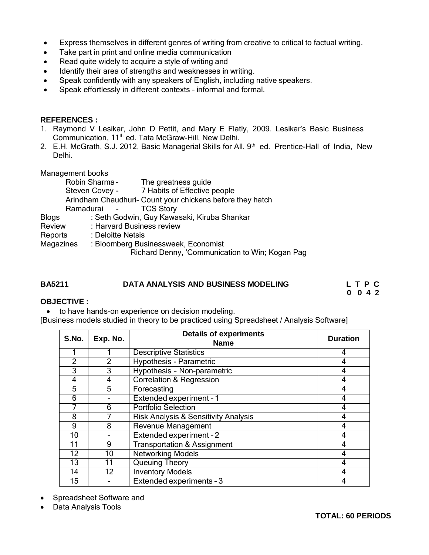- Express themselves in different genres of writing from creative to critical to factual writing.
- Take part in print and online media communication
- Read quite widely to acquire a style of writing and
- Identify their area of strengths and weaknesses in writing.
- Speak confidently with any speakers of English, including native speakers.
- Speak effortlessly in different contexts informal and formal.

### **REFERENCES :**

- 1. Raymond V Lesikar, John D Pettit, and Mary E Flatly, 2009. Lesikar's Basic Business Communication, 11<sup>th</sup> ed. Tata McGraw-Hill, New Delhi.
- 2. E.H. McGrath, S.J. 2012, Basic Managerial Skills for All. 9<sup>th</sup> ed. Prentice-Hall of India, New Delhi.

Management books

|                | Robin Sharma -            | The greatness guide                                                                    |
|----------------|---------------------------|----------------------------------------------------------------------------------------|
| Steven Covey - |                           | 7 Habits of Effective people                                                           |
|                |                           | Arindham Chaudhuri- Count your chickens before they hatch                              |
|                | Ramadurai -               | <b>TCS Story</b>                                                                       |
| <b>Blogs</b>   |                           | : Seth Godwin, Guy Kawasaki, Kiruba Shankar                                            |
| Review         | : Harvard Business review |                                                                                        |
| Reports        | : Deloitte Netsis         |                                                                                        |
| Magazines      |                           | : Bloomberg Businessweek, Economist<br>Richard Denny, 'Communication to Win; Kogan Pag |
|                |                           |                                                                                        |

### **BA5211 DATA ANALYSIS AND BUSINESS MODELING L T P C**

**0 0 4 2**

### **OBJECTIVE :**

• to have hands-on experience on decision modeling.

[Business models studied in theory to be practiced using Spreadsheet / Analysis Software]

| S.No.          | Exp. No.       | <b>Details of experiments</b>                   | <b>Duration</b> |  |
|----------------|----------------|-------------------------------------------------|-----------------|--|
|                |                | <b>Name</b>                                     |                 |  |
|                |                | <b>Descriptive Statistics</b>                   | 4               |  |
| $\mathfrak{p}$ | $\overline{2}$ | Hypothesis - Parametric                         | 4               |  |
| 3              | 3              | Hypothesis - Non-parametric                     | 4               |  |
| 4              | 4              | <b>Correlation &amp; Regression</b>             | 4               |  |
| 5              | 5              | Forecasting                                     | 4               |  |
| 6              |                | Extended experiment - 1                         | 4               |  |
|                | 6              | <b>Portfolio Selection</b>                      | 4               |  |
| 8              |                | <b>Risk Analysis &amp; Sensitivity Analysis</b> | 4               |  |
| 9              | 8              | Revenue Management                              | 4               |  |
| 10             |                | Extended experiment - 2                         | 4               |  |
| 11             | 9              | <b>Transportation &amp; Assignment</b>          | 4               |  |
| 12             | 10             | <b>Networking Models</b>                        | 4               |  |
| 13             | 11             | Queuing Theory                                  | 4               |  |
| 14             | 12             | <b>Inventory Models</b>                         | 4               |  |
| 15             |                | Extended experiments - 3                        | 4               |  |

• Spreadsheet Software and

Data Analysis Tools